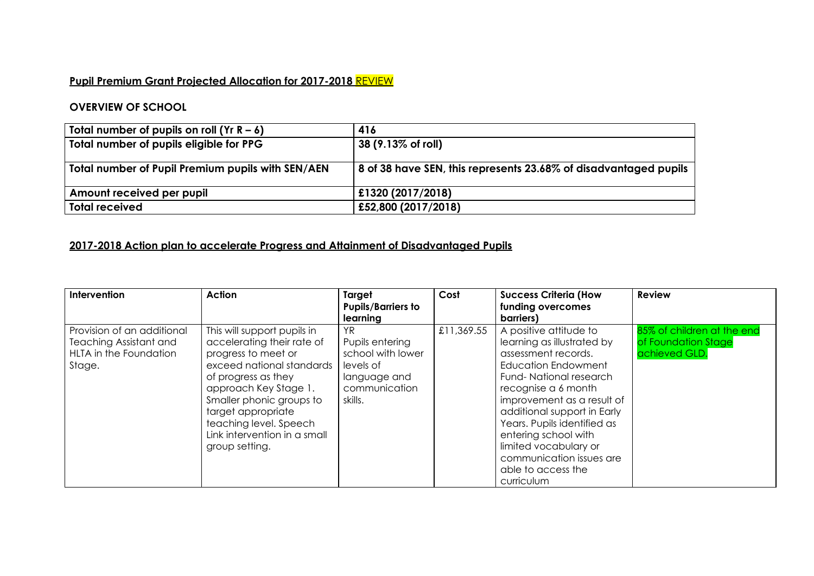## **Pupil Premium Grant Projected Allocation for 2017-2018** REVIEW

## **OVERVIEW OF SCHOOL**

| Total number of pupils on roll $(Yr R - 6)$       | 416                                                                      |
|---------------------------------------------------|--------------------------------------------------------------------------|
| Total number of pupils eligible for PPG           | $ 38 (9.13\% \text{ of roll}) $                                          |
| Total number of Pupil Premium pupils with SEN/AEN | $\vert$ 8 of 38 have SEN, this represents 23.68% of disadvantaged pupils |
| Amount received per pupil                         | £1320 (2017/2018)                                                        |
| <b>Total received</b>                             | £52,800 (2017/2018)                                                      |

## **2017-2018 Action plan to accelerate Progress and Attainment of Disadvantaged Pupils**

| Intervention                                                                                    | <b>Action</b>                                                                                                                                                                                                                                                                               | Target<br><b>Pupils/Barriers to</b><br>learning                                                      | Cost       | <b>Success Criteria (How</b><br>funding overcomes<br>barriers)                                                                                                                                                                                                                                                                                                          | <b>Review</b>                                                      |
|-------------------------------------------------------------------------------------------------|---------------------------------------------------------------------------------------------------------------------------------------------------------------------------------------------------------------------------------------------------------------------------------------------|------------------------------------------------------------------------------------------------------|------------|-------------------------------------------------------------------------------------------------------------------------------------------------------------------------------------------------------------------------------------------------------------------------------------------------------------------------------------------------------------------------|--------------------------------------------------------------------|
| Provision of an additional<br><b>Teaching Assistant and</b><br>HLTA in the Foundation<br>Stage. | This will support pupils in<br>accelerating their rate of<br>progress to meet or<br>exceed national standards<br>of progress as they<br>approach Key Stage 1.<br>Smaller phonic groups to<br>target appropriate<br>teaching level. Speech<br>Link intervention in a small<br>group setting. | YR.<br>Pupils entering<br>school with lower<br>levels of<br>language and<br>communication<br>skills. | £11,369.55 | A positive attitude to<br>learning as illustrated by<br>assessment records.<br><b>Education Endowment</b><br>Fund-National research<br>recognise a 6 month<br>improvement as a result of<br>additional support in Early<br>Years. Pupils identified as<br>entering school with<br>limited vocabulary or<br>communication issues are<br>able to access the<br>curriculum | 85% of children at the end<br>of Foundation Stage<br>achieved GLD. |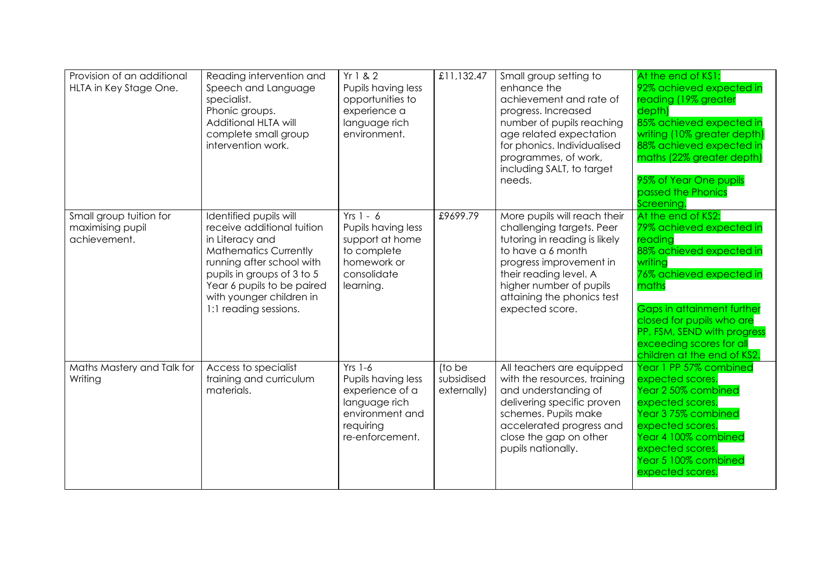| Provision of an additional<br>HLTA in Key Stage One.        | Reading intervention and<br>Speech and Language<br>specialist.<br>Phonic groups.<br>Additional HLTA will<br>complete small group<br>intervention work.                                                                                                | Yr 1 & 2<br>Pupils having less<br>opportunities to<br>experience a<br>language rich<br>environment.                    | £11,132.47                          | Small group setting to<br>enhance the<br>achievement and rate of<br>progress. Increased<br>number of pupils reaching<br>age related expectation<br>for phonics. Individualised<br>programmes, of work,<br>including SALT, to target<br>needs.    | At the end of KS1:<br>92% achieved expected in<br>reading (19% greater<br>depth)<br>85% achieved expected in<br>writing (10% greater depth)<br>88% achieved expected in<br>maths (22% greater depth)<br>95% of Year One pupils<br>passed the Phonics<br>Screening.                                |
|-------------------------------------------------------------|-------------------------------------------------------------------------------------------------------------------------------------------------------------------------------------------------------------------------------------------------------|------------------------------------------------------------------------------------------------------------------------|-------------------------------------|--------------------------------------------------------------------------------------------------------------------------------------------------------------------------------------------------------------------------------------------------|---------------------------------------------------------------------------------------------------------------------------------------------------------------------------------------------------------------------------------------------------------------------------------------------------|
| Small group tuition for<br>maximising pupil<br>achievement. | Identified pupils will<br>receive additional tuition<br>in Literacy and<br><b>Mathematics Currently</b><br>running after school with<br>pupils in groups of 3 to 5<br>Year 6 pupils to be paired<br>with younger children in<br>1:1 reading sessions. | $Yrs 1 - 6$<br>Pupils having less<br>support at home<br>to complete<br>homework or<br>consolidate<br>learning.         | £9699.79                            | More pupils will reach their<br>challenging targets. Peer<br>tutoring in reading is likely<br>to have a 6 month<br>progress improvement in<br>their reading level. A<br>higher number of pupils<br>attaining the phonics test<br>expected score. | At the end of KS2:<br>79% achieved expected in<br>reading<br>88% achieved expected in<br>writing<br>76% achieved expected in<br>maths<br><b>Gaps in attainment further</b><br>closed for pupils who are<br>PP, FSM, SEND with progress<br>exceeding scores for all<br>children at the end of KS2. |
| Maths Mastery and Talk for<br>Writing                       | Access to specialist<br>training and curriculum<br>materials.                                                                                                                                                                                         | $Yrs$ 1-6<br>Pupils having less<br>experience of a<br>language rich<br>environment and<br>requiring<br>re-enforcement. | (to be<br>subsidised<br>externally) | All teachers are equipped<br>with the resources, training<br>and understanding of<br>delivering specific proven<br>schemes. Pupils make<br>accelerated progress and<br>close the gap on other<br>pupils nationally.                              | Year 1 PP 57% combined<br>expected scores.<br>Year 2 50% combined<br>expected scores.<br>Year 3 75% combined<br>expected scores.<br>Year 4 100% combined<br>expected scores.<br>Year 5 100% combined<br>expected scores.                                                                          |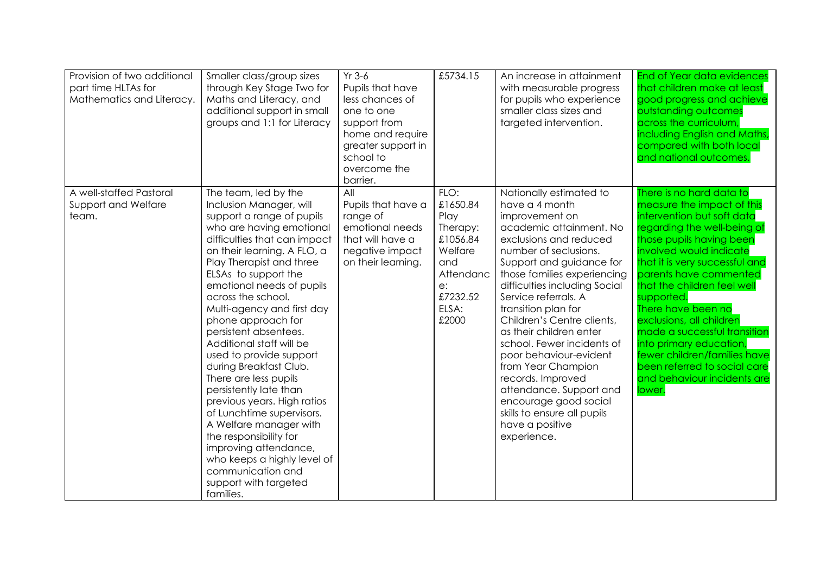| Provision of two additional<br>part time HLTAs for<br>Mathematics and Literacy. | Smaller class/group sizes<br>through Key Stage Two for<br>Maths and Literacy, and<br>additional support in small<br>groups and 1:1 for Literacy                                                                                                                                                                                                                                                                                                                                                                                                                                                                                                                                                                                    | $Yr$ 3-6<br>Pupils that have<br>less chances of<br>one to one<br>support from<br>home and require<br>greater support in<br>school to<br>overcome the<br>barrier. | £5734.15                                                                                                            | An increase in attainment<br>with measurable progress<br>for pupils who experience<br>smaller class sizes and<br>targeted intervention.                                                                                                                                                                                                                                                                                                                                                                                                                               | <b>End of Year data evidences</b><br>that children make at least<br>good progress and achieve<br>outstanding outcomes<br>across the curriculum,<br>including English and Maths,<br>compared with both local<br>and national outcomes.                                                                                                                                                                                                                                                                     |
|---------------------------------------------------------------------------------|------------------------------------------------------------------------------------------------------------------------------------------------------------------------------------------------------------------------------------------------------------------------------------------------------------------------------------------------------------------------------------------------------------------------------------------------------------------------------------------------------------------------------------------------------------------------------------------------------------------------------------------------------------------------------------------------------------------------------------|------------------------------------------------------------------------------------------------------------------------------------------------------------------|---------------------------------------------------------------------------------------------------------------------|-----------------------------------------------------------------------------------------------------------------------------------------------------------------------------------------------------------------------------------------------------------------------------------------------------------------------------------------------------------------------------------------------------------------------------------------------------------------------------------------------------------------------------------------------------------------------|-----------------------------------------------------------------------------------------------------------------------------------------------------------------------------------------------------------------------------------------------------------------------------------------------------------------------------------------------------------------------------------------------------------------------------------------------------------------------------------------------------------|
| A well-staffed Pastoral<br>Support and Welfare<br>team.                         | The team, led by the<br>Inclusion Manager, will<br>support a range of pupils<br>who are having emotional<br>difficulties that can impact<br>on their learning. A FLO, a<br>Play Therapist and three<br>ELSAs to support the<br>emotional needs of pupils<br>across the school.<br>Multi-agency and first day<br>phone approach for<br>persistent absentees.<br>Additional staff will be<br>used to provide support<br>during Breakfast Club.<br>There are less pupils<br>persistently late than<br>previous years. High ratios<br>of Lunchtime supervisors.<br>A Welfare manager with<br>the responsibility for<br>improving attendance,<br>who keeps a highly level of<br>communication and<br>support with targeted<br>families. | All<br>Pupils that have a<br>range of<br>emotional needs<br>that will have a<br>negative impact<br>on their learning.                                            | FLO:<br>£1650.84<br>Play<br>Therapy:<br>£1056.84<br>Welfare<br>and<br>Attendanc<br>e:<br>£7232.52<br>ELSA:<br>£2000 | Nationally estimated to<br>have a 4 month<br>improvement on<br>academic attainment. No<br>exclusions and reduced<br>number of seclusions.<br>Support and guidance for<br>those families experiencing<br>difficulties including Social<br>Service referrals. A<br>transition plan for<br>Children's Centre clients,<br>as their children enter<br>school. Fewer incidents of<br>poor behaviour-evident<br>from Year Champion<br>records. Improved<br>attendance. Support and<br>encourage good social<br>skills to ensure all pupils<br>have a positive<br>experience. | There is no hard data to<br>measure the impact of this<br>intervention but soft data<br>regarding the well-being of<br>those pupils having been<br>involved would indicate<br>that it is very successful and<br>parents have commented<br>that the children feel well<br>supported.<br>There have been no<br>exclusions, all children<br>made a successful transition<br>into primary education,<br>fewer children/families have<br>been referred to social care<br>and behaviour incidents are<br>lower. |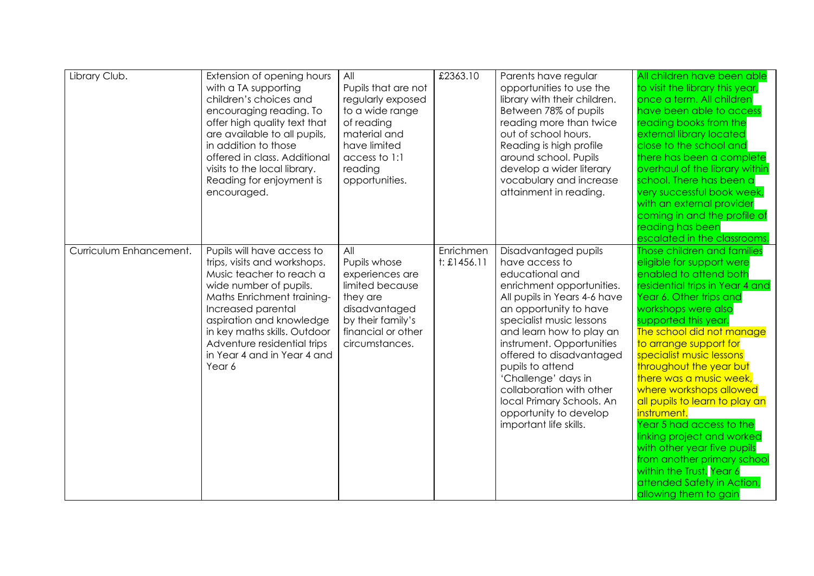| Library Club.           | Extension of opening hours<br>with a TA supporting<br>children's choices and<br>encouraging reading. To<br>offer high quality text that<br>are available to all pupils,<br>in addition to those<br>offered in class. Additional<br>visits to the local library.<br>Reading for enjoyment is<br>encouraged. | All<br>Pupils that are not<br>regularly exposed<br>to a wide range<br>of reading<br>material and<br>have limited<br>access to 1:1<br>reading<br>opportunities. | £2363.10                 | Parents have regular<br>opportunities to use the<br>library with their children.<br>Between 78% of pupils<br>reading more than twice<br>out of school hours.<br>Reading is high profile<br>around school. Pupils<br>develop a wider literary<br>vocabulary and increase<br>attainment in reading.                                                                                                                         | All children have been able<br>to visit the library this year,<br>once a term. All children<br>have been able to access<br>reading books from the<br>external library located<br>close to the school and<br>there has been a complete<br>overhaul of the library within<br>school. There has been a<br>very successful book week,<br>with an external provider<br>coming in and the profile of<br>reading has been<br>escalated in the classrooms.                                                                                                                                                                              |
|-------------------------|------------------------------------------------------------------------------------------------------------------------------------------------------------------------------------------------------------------------------------------------------------------------------------------------------------|----------------------------------------------------------------------------------------------------------------------------------------------------------------|--------------------------|---------------------------------------------------------------------------------------------------------------------------------------------------------------------------------------------------------------------------------------------------------------------------------------------------------------------------------------------------------------------------------------------------------------------------|---------------------------------------------------------------------------------------------------------------------------------------------------------------------------------------------------------------------------------------------------------------------------------------------------------------------------------------------------------------------------------------------------------------------------------------------------------------------------------------------------------------------------------------------------------------------------------------------------------------------------------|
| Curriculum Enhancement. | Pupils will have access to<br>trips, visits and workshops.<br>Music teacher to reach a<br>wide number of pupils.<br>Maths Enrichment training-<br>Increased parental<br>aspiration and knowledge<br>in key maths skills. Outdoor<br>Adventure residential trips<br>in Year 4 and in Year 4 and<br>Year 6   | All<br>Pupils whose<br>experiences are<br>limited because<br>they are<br>disadvantaged<br>by their family's<br>financial or other<br>circumstances.            | Enrichmen<br>t: £1456.11 | Disadvantaged pupils<br>have access to<br>educational and<br>enrichment opportunities.<br>All pupils in Years 4-6 have<br>an opportunity to have<br>specialist music lessons<br>and learn how to play an<br>instrument. Opportunities<br>offered to disadvantaged<br>pupils to attend<br>'Challenge' days in<br>collaboration with other<br>local Primary Schools. An<br>opportunity to develop<br>important life skills. | Those children and families<br>eligible for support were<br>enabled to attend both<br>residential trips in Year 4 and<br>Year 6. Other trips and<br>workshops were also<br>supported this year.<br>The school did not manage<br>to arrange support for<br>specialist music lessons<br>throughout the year but<br>there was a music week,<br>where workshops allowed<br>all pupils to learn to play an<br>instrument.<br>Year 5 had access to the<br>linking project and worked<br>with other year five pupils<br>from another primary school<br>within the Trust. Year 6<br>attended Safety in Action,<br>allowing them to gain |